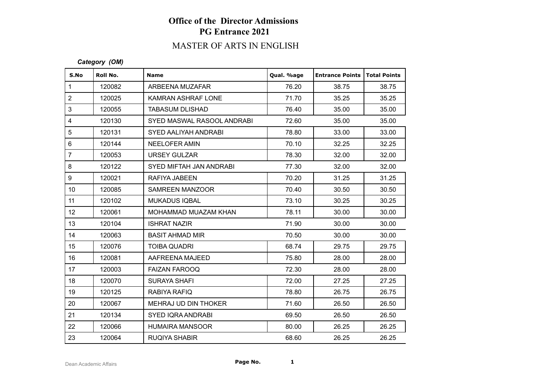# **Office of the Director Admissions PG Entrance 2021**

# MASTER OF ARTS IN ENGLISH

#### *Category (OM)*

| S.No            | Roll No. | <b>Name</b>                | Qual. %age | <b>Entrance Points   Total Points</b> |       |
|-----------------|----------|----------------------------|------------|---------------------------------------|-------|
| $\mathbf{1}$    | 120082   | ARBEENA MUZAFAR            | 76.20      | 38.75                                 | 38.75 |
| $\overline{2}$  | 120025   | KAMRAN ASHRAF LONE         | 71.70      | 35.25                                 | 35.25 |
| 3               | 120055   | <b>TABASUM DLISHAD</b>     | 76.40      | 35.00                                 | 35.00 |
| $\overline{4}$  | 120130   | SYED MASWAL RASOOL ANDRABI | 72.60      | 35.00                                 | 35.00 |
| 5               | 120131   | SYED AALIYAH ANDRABI       | 78.80      | 33.00                                 | 33.00 |
| $\,6$           | 120144   | <b>NEELOFER AMIN</b>       | 70.10      | 32.25                                 | 32.25 |
| $\overline{7}$  | 120053   | <b>URSEY GULZAR</b>        | 78.30      | 32.00                                 | 32.00 |
| 8               | 120122   | SYED MIFTAH JAN ANDRABI    | 77.30      | 32.00                                 | 32.00 |
| 9               | 120021   | RAFIYA JABEEN              | 70.20      | 31.25                                 | 31.25 |
| 10 <sup>1</sup> | 120085   | SAMREEN MANZOOR            | 70.40      | 30.50                                 | 30.50 |
| 11              | 120102   | <b>MUKADUS IQBAL</b>       | 73.10      | 30.25                                 | 30.25 |
| 12 <sup>°</sup> | 120061   | MOHAMMAD MUAZAM KHAN       | 78.11      | 30.00                                 | 30.00 |
| 13              | 120104   | <b>ISHRAT NAZIR</b>        | 71.90      | 30.00                                 | 30.00 |
| 14              | 120063   | <b>BASIT AHMAD MIR</b>     | 70.50      | 30.00                                 | 30.00 |
| 15              | 120076   | <b>TOIBA QUADRI</b>        | 68.74      | 29.75                                 | 29.75 |
| 16              | 120081   | AAFREENA MAJEED            | 75.80      | 28.00                                 | 28.00 |
| 17              | 120003   | <b>FAIZAN FAROOQ</b>       | 72.30      | 28.00                                 | 28.00 |
| 18              | 120070   | <b>SURAYA SHAFI</b>        | 72.00      | 27.25                                 | 27.25 |
| 19              | 120125   | RABIYA RAFIQ               | 78.80      | 26.75                                 | 26.75 |
| 20              | 120067   | MEHRAJ UD DIN THOKER       | 71.60      | 26.50                                 | 26.50 |
| 21              | 120134   | <b>SYED IQRA ANDRABI</b>   | 69.50      | 26.50                                 | 26.50 |
| 22              | 120066   | <b>HUMAIRA MANSOOR</b>     | 80.00      | 26.25                                 | 26.25 |
| 23              | 120064   | <b>RUQIYA SHABIR</b>       | 68.60      | 26.25                                 | 26.25 |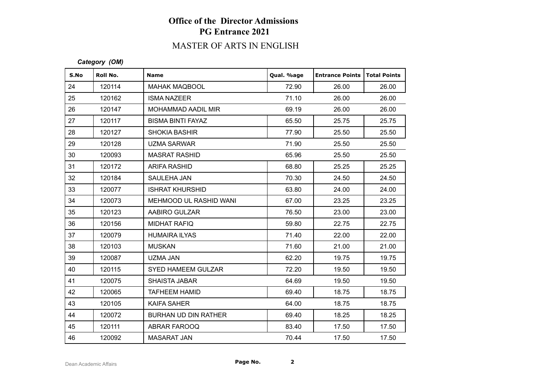# **Office of the Director Admissions PG Entrance 2021**

# MASTER OF ARTS IN ENGLISH

#### *Category (OM)*

| S.No | Roll No. | <b>Name</b>                 | Qual. %age | <b>Entrance Points   Total Points</b> |       |
|------|----------|-----------------------------|------------|---------------------------------------|-------|
| 24   | 120114   | <b>MAHAK MAQBOOL</b>        | 72.90      | 26.00                                 | 26.00 |
| 25   | 120162   | <b>ISMA NAZEER</b>          | 71.10      | 26.00                                 | 26.00 |
| 26   | 120147   | MOHAMMAD AADIL MIR          | 69.19      | 26.00                                 | 26.00 |
| 27   | 120117   | <b>BISMA BINTI FAYAZ</b>    | 65.50      | 25.75                                 | 25.75 |
| 28   | 120127   | <b>SHOKIA BASHIR</b>        | 77.90      | 25.50                                 | 25.50 |
| 29   | 120128   | UZMA SARWAR                 | 71.90      | 25.50                                 | 25.50 |
| 30   | 120093   | <b>MASRAT RASHID</b>        | 65.96      | 25.50                                 | 25.50 |
| 31   | 120172   | ARIFA RASHID                | 68.80      | 25.25                                 | 25.25 |
| 32   | 120184   | SAULEHA JAN                 | 70.30      | 24.50                                 | 24.50 |
| 33   | 120077   | <b>ISHRAT KHURSHID</b>      | 63.80      | 24.00                                 | 24.00 |
| 34   | 120073   | MEHMOOD UL RASHID WANI      | 67.00      | 23.25                                 | 23.25 |
| 35   | 120123   | AABIRO GULZAR               | 76.50      | 23.00                                 | 23.00 |
| 36   | 120156   | <b>MIDHAT RAFIQ</b>         | 59.80      | 22.75                                 | 22.75 |
| 37   | 120079   | <b>HUMAIRA ILYAS</b>        | 71.40      | 22.00                                 | 22.00 |
| 38   | 120103   | <b>MUSKAN</b>               | 71.60      | 21.00                                 | 21.00 |
| 39   | 120087   | UZMA JAN                    | 62.20      | 19.75                                 | 19.75 |
| 40   | 120115   | SYED HAMEEM GULZAR          | 72.20      | 19.50                                 | 19.50 |
| 41   | 120075   | <b>SHAISTA JABAR</b>        | 64.69      | 19.50                                 | 19.50 |
| 42   | 120065   | <b>TAFHEEM HAMID</b>        | 69.40      | 18.75                                 | 18.75 |
| 43   | 120105   | <b>KAIFA SAHER</b>          | 64.00      | 18.75                                 | 18.75 |
| 44   | 120072   | <b>BURHAN UD DIN RATHER</b> | 69.40      | 18.25                                 | 18.25 |
| 45   | 120111   | ABRAR FAROOQ                | 83.40      | 17.50                                 | 17.50 |
| 46   | 120092   | <b>MASARAT JAN</b>          | 70.44      | 17.50                                 | 17.50 |